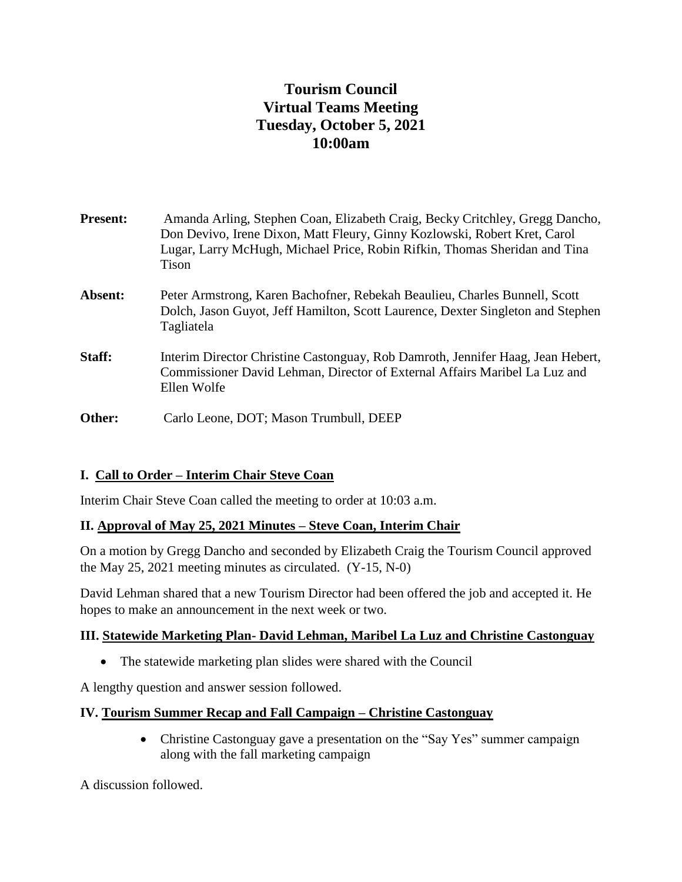# **Tourism Council Virtual Teams Meeting Tuesday, October 5, 2021 10:00am**

| <b>Present:</b> | Amanda Arling, Stephen Coan, Elizabeth Craig, Becky Critchley, Gregg Dancho,<br>Don Devivo, Irene Dixon, Matt Fleury, Ginny Kozlowski, Robert Kret, Carol<br>Lugar, Larry McHugh, Michael Price, Robin Rifkin, Thomas Sheridan and Tina<br><b>Tison</b> |
|-----------------|---------------------------------------------------------------------------------------------------------------------------------------------------------------------------------------------------------------------------------------------------------|
| Absent:         | Peter Armstrong, Karen Bachofner, Rebekah Beaulieu, Charles Bunnell, Scott<br>Dolch, Jason Guyot, Jeff Hamilton, Scott Laurence, Dexter Singleton and Stephen<br>Tagliatela                                                                             |
| Staff:          | Interim Director Christine Castonguay, Rob Damroth, Jennifer Haag, Jean Hebert,<br>Commissioner David Lehman, Director of External Affairs Maribel La Luz and<br>Ellen Wolfe                                                                            |
| Other:          | Carlo Leone, DOT; Mason Trumbull, DEEP                                                                                                                                                                                                                  |

# **I. Call to Order – Interim Chair Steve Coan**

Interim Chair Steve Coan called the meeting to order at 10:03 a.m.

### **II. Approval of May 25, 2021 Minutes – Steve Coan, Interim Chair**

On a motion by Gregg Dancho and seconded by Elizabeth Craig the Tourism Council approved the May 25, 2021 meeting minutes as circulated. (Y-15, N-0)

David Lehman shared that a new Tourism Director had been offered the job and accepted it. He hopes to make an announcement in the next week or two.

#### **III. Statewide Marketing Plan- David Lehman, Maribel La Luz and Christine Castonguay**

• The statewide marketing plan slides were shared with the Council

A lengthy question and answer session followed.

### **IV. Tourism Summer Recap and Fall Campaign – Christine Castonguay**

• Christine Castonguay gave a presentation on the "Say Yes" summer campaign along with the fall marketing campaign

A discussion followed.